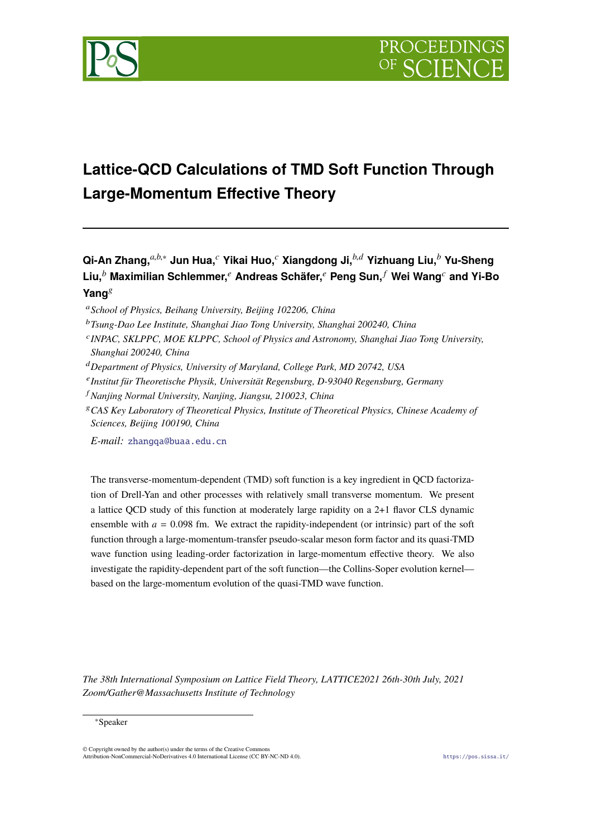

# **Lattice-QCD Calculations of TMD Soft Function Through Large-Momentum Effective Theory**

**Qi-An Zhang,** *<sup>a</sup>*,*b*,<sup>∗</sup> **Jun Hua,** *<sup>c</sup>* **Yikai Huo,** *<sup>c</sup>* **Xiangdong Ji,** *<sup>b</sup>*,*<sup>d</sup>* **Yizhuang Liu,** *<sup>b</sup>* **Yu-Sheng Liu,** *<sup>b</sup>* **Maximilian Schlemmer,** *<sup>e</sup>* **Andreas Schäfer,** *<sup>e</sup>* **Peng Sun,** *<sup>f</sup>* **Wei Wang***<sup>c</sup>* **and Yi-Bo** Yang<sup>g</sup>

- <sup>c</sup>*INPAC, SKLPPC, MOE KLPPC, School of Physics and Astronomy, Shanghai Jiao Tong University, Shanghai 200240, China*
- <sup>d</sup>*Department of Physics, University of Maryland, College Park, MD 20742, USA*
- <sup>e</sup>*Institut für Theoretische Physik, Universität Regensburg, D-93040 Regensburg, Germany*
- <sup>f</sup> *Nanjing Normal University, Nanjing, Jiangsu, 210023, China*
- <sup>g</sup>*CAS Key Laboratory of Theoretical Physics, Institute of Theoretical Physics, Chinese Academy of Sciences, Beijing 100190, China*

*E-mail:* [zhangqa@buaa.edu.cn](mailto:zhangqa@buaa.edu.cn)

The transverse-momentum-dependent (TMD) soft function is a key ingredient in QCD factorization of Drell-Yan and other processes with relatively small transverse momentum. We present a lattice QCD study of this function at moderately large rapidity on a 2+1 flavor CLS dynamic ensemble with  $a = 0.098$  fm. We extract the rapidity-independent (or intrinsic) part of the soft function through a large-momentum-transfer pseudo-scalar meson form factor and its quasi-TMD wave function using leading-order factorization in large-momentum effective theory. We also investigate the rapidity-dependent part of the soft function—the Collins-Soper evolution kernel based on the large-momentum evolution of the quasi-TMD wave function.

*The 38th International Symposium on Lattice Field Theory, LATTICE2021 26th-30th July, 2021 Zoom/Gather@Massachusetts Institute of Technology*

#### ∗Speaker

<sup>a</sup>*School of Physics, Beihang University, Beijing 102206, China*

<sup>b</sup>*Tsung-Dao Lee Institute, Shanghai Jiao Tong University, Shanghai 200240, China*

<sup>©</sup> Copyright owned by the author(s) under the terms of the Creative Commons Attribution-NonCommercial-NoDerivatives 4.0 International License (CC BY-NC-ND 4.0). <https://pos.sissa.it/>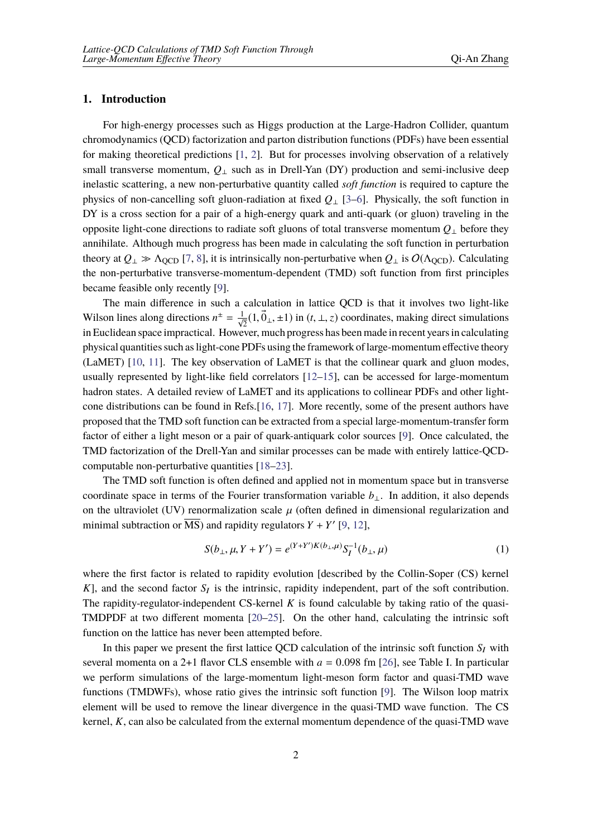## **1. Introduction**

For high-energy processes such as Higgs production at the Large-Hadron Collider, quantum chromodynamics (QCD) factorization and parton distribution functions (PDFs) have been essential for making theoretical predictions [[1](#page-7-0), [2](#page-7-1)]. But for processes involving observation of a relatively small transverse momentum,  $Q_1$  such as in Drell-Yan (DY) production and semi-inclusive deep inelastic scattering, a new non-perturbative quantity called *soft function* is required to capture the physics of non-cancelling soft gluon-radiation at fixed *Q*<sup>⊥</sup> [[3](#page-7-2)–[6](#page-7-3)]. Physically, the soft function in DY is a cross section for a pair of a high-energy quark and anti-quark (or gluon) traveling in the opposite light-cone directions to radiate soft gluons of total transverse momentum *Q*<sup>⊥</sup> before they annihilate. Although much progress has been made in calculating the soft function in perturbation theory at  $Q_{\perp} \gg \Lambda_{\text{OCD}}$  [[7](#page-7-4), [8](#page-8-0)], it is intrinsically non-perturbative when  $Q_{\perp}$  is  $O(\Lambda_{\text{OCD}})$ . Calculating the non-perturbative transverse-momentum-dependent (TMD) soft function from first principles became feasible only recently [[9](#page-8-1)].

The main difference in such a calculation in lattice QCD is that it involves two light-like Wilson lines along directions  $n^{\pm} = \frac{1}{\sqrt{2}}(1, \vec{0}_{\perp}, \pm 1)$  in  $(t, \perp, z)$  coordinates, making direct simulations in Euclidean space impractical. However, much progress has been made in recent years in calculating physical quantities such as light-cone PDFs using the framework of large-momentum effective theory (LaMET) [\[10](#page-8-2), [11](#page-8-3)]. The key observation of LaMET is that the collinear quark and gluon modes, usually represented by light-like field correlators [\[12](#page-8-4)–[15\]](#page-8-5), can be accessed for large-momentum hadron states. A detailed review of LaMET and its applications to collinear PDFs and other lightcone distributions can be found in Refs.[[16,](#page-8-6) [17](#page-8-7)]. More recently, some of the present authors have proposed that the TMD soft function can be extracted from a special large-momentum-transfer form factor of either a light meson or a pair of quark-antiquark color sources [[9](#page-8-1)]. Once calculated, the TMD factorization of the Drell-Yan and similar processes can be made with entirely lattice-QCDcomputable non-perturbative quantities [[18](#page-8-8)[–23](#page-8-9)].

The TMD soft function is often defined and applied not in momentum space but in transverse coordinate space in terms of the Fourier transformation variable *b*⊥. In addition, it also depends on the ultraviolet (UV) renormalization scale  $\mu$  (often defined in dimensional regularization and minimal subtraction or MS) and rapidity regulators  $Y + Y'$  [[9](#page-8-1), [12\]](#page-8-4),

$$
S(b_{\perp}, \mu, Y + Y') = e^{(Y + Y')K(b_{\perp}, \mu)} S_I^{-1}(b_{\perp}, \mu)
$$
\n(1)

where the first factor is related to rapidity evolution [described by the Collin-Soper (CS) kernel  $K$ ], and the second factor  $S_I$  is the intrinsic, rapidity independent, part of the soft contribution. The rapidity-regulator-independent CS-kernel *K* is found calculable by taking ratio of the quasi-TMDPDF at two different momenta [\[20](#page-8-10)[–25](#page-8-11)]. On the other hand, calculating the intrinsic soft function on the lattice has never been attempted before.

In this paper we present the first lattice QCD calculation of the intrinsic soft function  $S_I$  with several momenta on a 2+1 flavor CLS ensemble with  $a = 0.098$  fm [[26](#page-8-12)], see Table I. In particular we perform simulations of the large-momentum light-meson form factor and quasi-TMD wave functions (TMDWFs), whose ratio gives the intrinsic soft function [[9](#page-8-1)]. The Wilson loop matrix element will be used to remove the linear divergence in the quasi-TMD wave function. The CS kernel, *K*, can also be calculated from the external momentum dependence of the quasi-TMD wave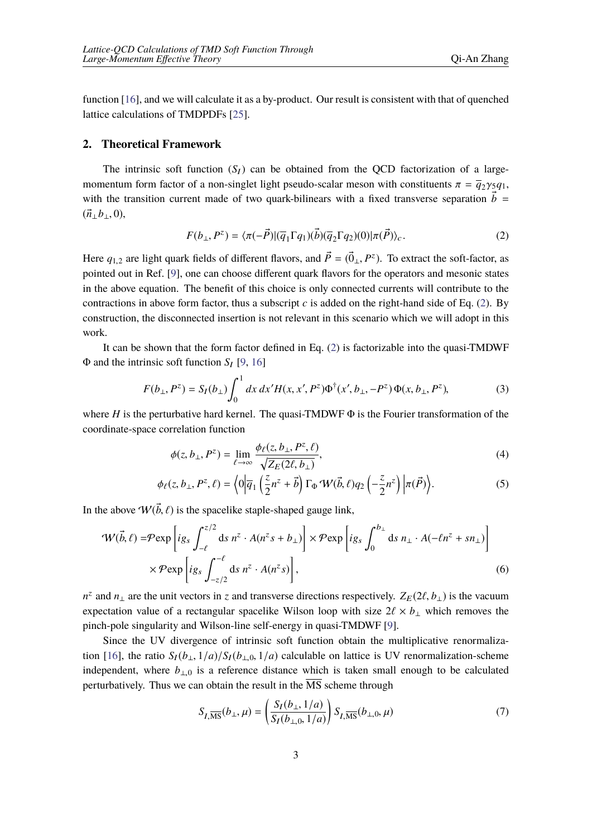function [[16](#page-8-6)], and we will calculate it as a by-product. Our result is consistent with that of quenched lattice calculations of TMDPDFs [\[25](#page-8-11)].

#### **2. Theoretical Framework**

The intrinsic soft function  $(S_I)$  can be obtained from the QCD factorization of a largemomentum form factor of a non-singlet light pseudo-scalar meson with constituents  $\pi = \overline{q}_2 \gamma_5 q_1$ , with the transition current made of two quark-bilinears with a fixed transverse separation  $\vec{b}$  =  $(\vec{n}_1 b_1, 0),$ 

<span id="page-2-0"></span>
$$
F(b_\perp, P^z) = \langle \pi(-\vec{P}) | (\overline{q}_1 \Gamma q_1)(\vec{b}) (\overline{q}_2 \Gamma q_2)(0) | \pi(\vec{P}) \rangle_c.
$$
 (2)

Here  $q_{1,2}$  are light quark fields of different flavors, and  $\vec{P} = (\vec{0}_{\perp}, P^z)$ . To extract the soft-factor, as pointed out in Ref. [[9](#page-8-1)], one can choose different quark flavors for the operators and mesonic states in the above equation. The benefit of this choice is only connected currents will contribute to the contractions in above form factor, thus a subscript  $c$  is added on the right-hand side of Eq. [\(2\)](#page-2-0). By construction, the disconnected insertion is not relevant in this scenario which we will adopt in this work.

It can be shown that the form factor defined in Eq. ([2](#page-2-0)) is factorizable into the quasi-TMDWF  $Φ$  and the intrinsic soft function *S*<sub>I</sub> [[9](#page-8-1), [16\]](#page-8-6)

$$
F(b_{\perp}, P^{z}) = S_{I}(b_{\perp}) \int_{0}^{1} dx dx' H(x, x', P^{z}) \Phi^{\dagger}(x', b_{\perp}, -P^{z}) \Phi(x, b_{\perp}, P^{z}),
$$
 (3)

where *H* is the perturbative hard kernel. The quasi-TMDWF  $\Phi$  is the Fourier transformation of the coordinate-space correlation function

<span id="page-2-1"></span>
$$
\phi(z, b_{\perp}, P^z) = \lim_{\ell \to \infty} \frac{\phi_{\ell}(z, b_{\perp}, P^z, \ell)}{\sqrt{Z_E(2\ell, b_{\perp})}},\tag{4}
$$

$$
\phi_{\ell}(z, b_{\perp}, P^{z}, \ell) = \left\langle 0 \left| \overline{q}_{1} \left( \frac{z}{2} n^{z} + \vec{b} \right) \Gamma_{\Phi} \mathcal{W}(\vec{b}, \ell) q_{2} \left( -\frac{z}{2} n^{z} \right) \left| \pi(\vec{P}) \right. \right\rangle. \tag{5}
$$

In the above  $W(\vec{b}, \ell)$  is the spacelike staple-shaped gauge link,

$$
\mathcal{W}(\vec{b}, \ell) = \mathcal{P} \exp \left[ ig_s \int_{-\ell}^{z/2} ds \ n^z \cdot A(n^z s + b_\perp) \right] \times \mathcal{P} \exp \left[ ig_s \int_0^{b_\perp} ds \ n_\perp \cdot A(-\ell n^z + s n_\perp) \right]
$$
  
 
$$
\times \mathcal{P} \exp \left[ ig_s \int_{-z/2}^{-\ell} ds \ n^z \cdot A(n^z s) \right],
$$
 (6)

 $n^z$  and  $n_\perp$  are the unit vectors in *z* and transverse directions respectively.  $Z_E(2\ell, b_\perp)$  is the vacuum expectation value of a rectangular spacelike Wilson loop with size  $2\ell \times b_\perp$  which removes the pinch-pole singularity and Wilson-line self-energy in quasi-TMDWF [[9](#page-8-1)].

Since the UV divergence of intrinsic soft function obtain the multiplicative renormaliza-tion [[16\]](#page-8-6), the ratio  $S_I(b_\perp, 1/a)/S_I(b_{\perp,0}, 1/a)$  calculable on lattice is UV renormalization-scheme independent, where  $b_{\perp,0}$  is a reference distance which is taken small enough to be calculated perturbatively. Thus we can obtain the result in the  $\overline{\text{MS}}$  scheme through

<span id="page-2-2"></span>
$$
S_{I,\overline{\rm MS}}(b_{\perp},\mu) = \left(\frac{S_I(b_{\perp},1/a)}{S_I(b_{\perp,0},1/a)}\right) S_{I,\overline{\rm MS}}(b_{\perp,0},\mu) \tag{7}
$$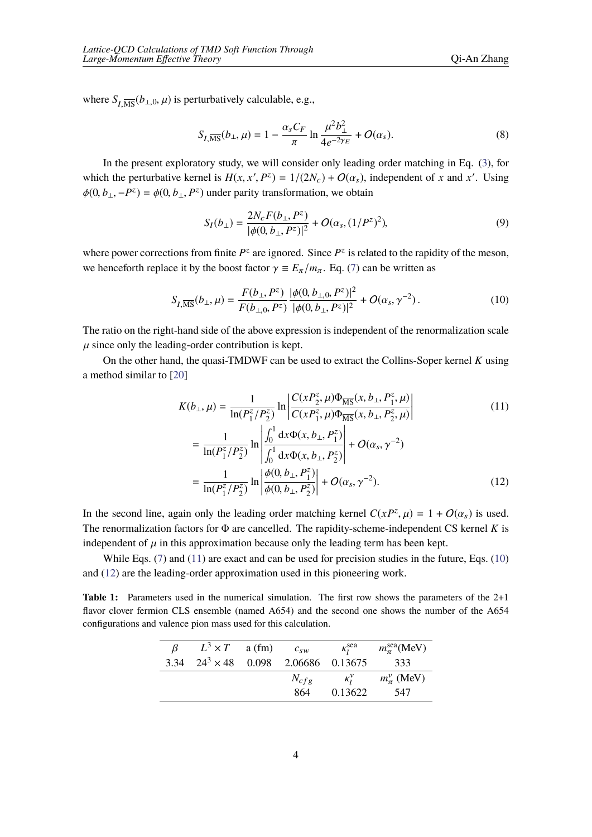where  $S_{I,\overline{\text{MS}}}(b_{\perp,0},\mu)$  is perturbatively calculable, e.g.,

<span id="page-3-4"></span>
$$
S_{I,\overline{\text{MS}}}(b_{\perp},\mu) = 1 - \frac{\alpha_s C_F}{\pi} \ln \frac{\mu^2 b_{\perp}^2}{4e^{-2\gamma_E}} + O(\alpha_s). \tag{8}
$$

In the present exploratory study, we will consider only leading order matching in Eq. ([3](#page-2-1)), for which the perturbative kernel is  $H(x, x', P^z) = 1/(2N_c) + O(\alpha_s)$ , independent of *x* and *x'*. Using  $\phi(0, b_{\perp}, -P^z) = \phi(0, b_{\perp}, P^z)$  under parity transformation, we obtain

<span id="page-3-1"></span>
$$
S_I(b_\perp) = \frac{2N_c F(b_\perp, P^z)}{|\phi(0, b_\perp, P^z)|^2} + O(\alpha_s, (1/P^z)^2),\tag{9}
$$

where power corrections from finite  $P^z$  are ignored. Since  $P^z$  is related to the rapidity of the meson, we henceforth replace it by the boost factor  $\gamma = E_{\pi}/m_{\pi}$ . Eq. ([7](#page-2-2)) can be written as

$$
S_{I,\overline{\text{MS}}}(b_{\perp},\mu) = \frac{F(b_{\perp},P^z)}{F(b_{\perp,0},P^z)} \frac{|\phi(0,b_{\perp,0},P^z)|^2}{|\phi(0,b_{\perp},P^z)|^2} + O(\alpha_s, \gamma^{-2}).
$$
\n(10)

The ratio on the right-hand side of the above expression is independent of the renormalization scale  $\mu$  since only the leading-order contribution is kept.

On the other hand, the quasi-TMDWF can be used to extract the Collins-Soper kernel *K* using a method similar to [\[20](#page-8-10)]

$$
K(b_{\perp}, \mu) = \frac{1}{\ln(P_1^z/P_2^z)} \ln \left| \frac{C(xP_2^z, \mu)\Phi_{\overline{\rm MS}}(x, b_{\perp}, P_1^z, \mu)}{C(xP_1^z, \mu)\Phi_{\overline{\rm MS}}(x, b_{\perp}, P_2^z, \mu)} \right| \tag{11}
$$

<span id="page-3-2"></span><span id="page-3-0"></span>
$$
= \frac{1}{\ln(P_1^z/P_2^z)} \ln \left| \frac{\int_0^1 dx \Phi(x, b_\perp, P_1^z)}{\int_0^1 dx \Phi(x, b_\perp, P_2^z)} \right| + O(\alpha_s, \gamma^{-2})
$$
  

$$
= \frac{1}{\ln(P_1^z/P_2^z)} \ln \left| \frac{\phi(0, b_\perp, P_1^z)}{\phi(0, b_\perp, P_2^z)} \right| + O(\alpha_s, \gamma^{-2}).
$$
 (12)

In the second line, again only the leading order matching kernel  $C(xP^z, \mu) = 1 + O(\alpha_s)$  is used. The renormalization factors for Φ are cancelled. The rapidity-scheme-independent CS kernel *K* is independent of  $\mu$  in this approximation because only the leading term has been kept.

While Eqs. [\(7\)](#page-2-2) and [\(11](#page-3-0)) are exact and can be used for precision studies in the future, Eqs. [\(10](#page-3-1)) and [\(12](#page-3-2)) are the leading-order approximation used in this pioneering work.

<span id="page-3-3"></span>**Table 1:** Parameters used in the numerical simulation. The first row shows the parameters of the 2+1 flavor clover fermion CLS ensemble (named A654) and the second one shows the number of the A654 configurations and valence pion mass used for this calculation.

| $\beta$ | $L^3 \times T$ a (fm)                       | $c_{sw}$ | $\kappa_i^{\text{sea}}$ | $m_{\pi}^{\rm sea}$ (MeV) |
|---------|---------------------------------------------|----------|-------------------------|---------------------------|
|         | 3.34 $24^3 \times 48$ 0.098 2.06686 0.13675 |          |                         | 333                       |
|         |                                             |          | $N_{cfg}$ $\kappa_l^v$  | $m_{\pi}^{\nu}$ (MeV)     |
|         |                                             | 864      | 0.13622                 | 547                       |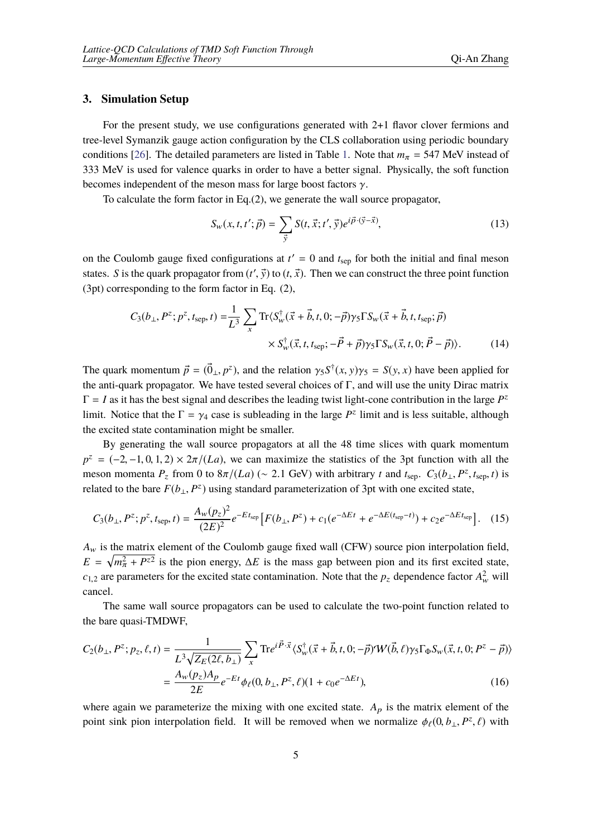## **3. Simulation Setup**

For the present study, we use configurations generated with 2+1 flavor clover fermions and tree-level Symanzik gauge action configuration by the CLS collaboration using periodic boundary conditions [\[26](#page-8-12)]. The detailed parameters are listed in Table [1.](#page-3-3) Note that  $m<sub>\pi</sub> = 547$  MeV instead of 333 MeV is used for valence quarks in order to have a better signal. Physically, the soft function becomes independent of the meson mass for large boost factors  $\gamma$ .

To calculate the form factor in Eq.(2), we generate the wall source propagator,

$$
S_w(x, t, t'; \vec{p}) = \sum_{\vec{y}} S(t, \vec{x}; t', \vec{y}) e^{i\vec{p} \cdot (\vec{y} - \vec{x})}, \qquad (13)
$$

on the Coulomb gauge fixed configurations at  $t' = 0$  and  $t_{\text{sep}}$  for both the initial and final meson states. *S* is the quark propagator from  $(t', \vec{y})$  to  $(t, \vec{x})$ . Then we can construct the three point function (3pt) corresponding to the form factor in Eq. (2),

$$
C_3(b_\perp, P^z; p^z, t_{\rm sep}, t) = \frac{1}{L^3} \sum_x \text{Tr} \langle S_w^\dagger (\vec{x} + \vec{b}, t, 0; -\vec{p}) \gamma_5 \Gamma S_w (\vec{x} + \vec{b}, t, t_{\rm sep}; \vec{p}) \times S_w^\dagger (\vec{x}, t, t_{\rm sep}; -\vec{P} + \vec{p}) \gamma_5 \Gamma S_w (\vec{x}, t, 0; \vec{P} - \vec{p}) \rangle. \tag{14}
$$

The quark momentum  $\vec{p} = (\vec{0}_{\perp}, p^z)$ , and the relation  $\gamma_5 S^{\dagger}(x, y) \gamma_5 = S(y, x)$  have been applied for the anti-quark propagator. We have tested several choices of  $\Gamma$ , and will use the unity Dirac matrix  $\Gamma = I$  as it has the best signal and describes the leading twist light-cone contribution in the large  $P^z$ limit. Notice that the  $\Gamma = \gamma_4$  case is subleading in the large  $P^z$  limit and is less suitable, although the excited state contamination might be smaller.

By generating the wall source propagators at all the 48 time slices with quark momentum  $p^z = (-2, -1, 0, 1, 2) \times 2\pi/(La)$ , we can maximize the statistics of the 3pt function with all the meson momenta  $P_z$  from 0 to  $8\pi/(La)$  (∼ 2.1 GeV) with arbitrary *t* and  $t_{sep}$ .  $C_3(b_\perp, P^z, t_{sep}, t)$  is related to the bare  $F(b_{\perp}, P^z)$  using standard parameterization of 3pt with one excited state,

<span id="page-4-0"></span>
$$
C_3(b_\perp, P^z; p^z, t_{\rm sep}, t) = \frac{A_w(p_z)^2}{(2E)^2} e^{-Et_{\rm sep}} \left[ F(b_\perp, P^z) + c_1 (e^{-\Delta E t} + e^{-\Delta E (t_{\rm sep} - t)}) + c_2 e^{-\Delta E t_{\rm sep}} \right]. \tag{15}
$$

 $A_w$  is the matrix element of the Coulomb gauge fixed wall (CFW) source pion interpolation field,  $E = \sqrt{m_{\pi}^2 + P^{z2}}$  is the pion energy,  $\Delta E$  is the mass gap between pion and its first excited state,  $c_{1,2}$  are parameters for the excited state contamination. Note that the  $p_z$  dependence factor  $A_w^2$  will cancel.

The same wall source propagators can be used to calculate the two-point function related to the bare quasi-TMDWF,

<span id="page-4-1"></span>
$$
C_{2}(b_{\perp}, P^{z}; p_{z}, \ell, t) = \frac{1}{L^{3} \sqrt{Z_{E}(2\ell, b_{\perp})}} \sum_{x} \text{Tr} e^{i \vec{P} \cdot \vec{x}} \langle S_{w}^{\dagger}(\vec{x} + \vec{b}, t, 0; -\vec{p}) \cdot W(\vec{b}, \ell) \gamma_{5} \Gamma_{\Phi} S_{w}(\vec{x}, t, 0; P^{z} - \vec{p}) \rangle
$$

$$
= \frac{A_{w}(p_{z}) A_{p}}{2E} e^{-Et} \phi_{\ell}(0, b_{\perp}, P^{z}, \ell) (1 + c_{0} e^{-\Delta E t}), \tag{16}
$$

where again we parameterize the mixing with one excited state.  $A_p$  is the matrix element of the point sink pion interpolation field. It will be removed when we normalize  $\phi_{\ell}(0, b_{\perp}, P^z, \ell)$  with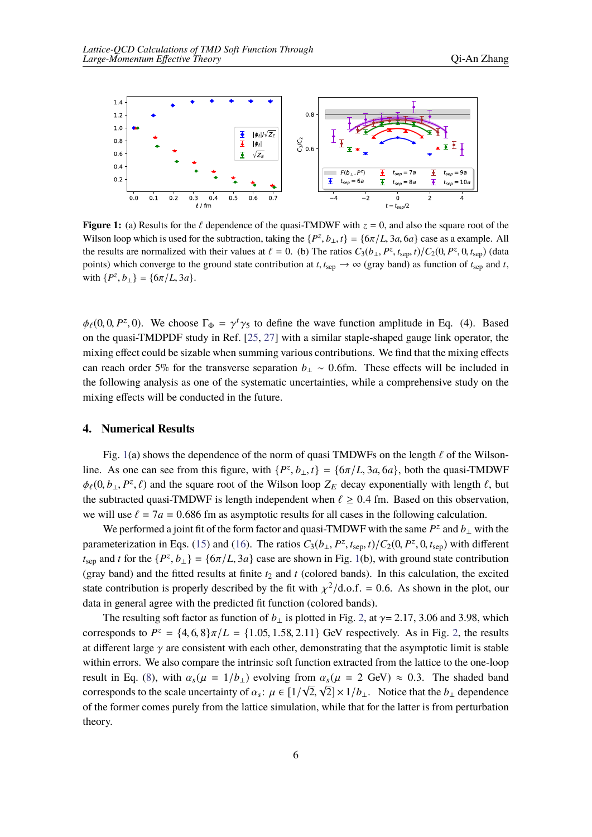<span id="page-5-0"></span>

**Figure 1:** (a) Results for the  $\ell$  dependence of the quasi-TMDWF with  $z = 0$ , and also the square root of the Wilson loop which is used for the subtraction, taking the  $\{P^z, b_\perp, t\} = \{6\pi/L, 3a, 6a\}$  case as a example. All the results are normalized with their values at  $\ell = 0$ . (b) The ratios  $C_3(b_\perp, P^z, t_{\text{sep}}, t)/C_2(0, P^z, 0, t_{\text{sep}})$  (data points) which converge to the ground state contribution at *t*,  $t_{\text{sep}} \to \infty$  (gray band) as function of  $t_{\text{sep}}$  and *t*, with  $\{P^z, b_{\perp}\} = \{6\pi/L, 3a\}.$ 

 $\phi_{\ell}(0, 0, P^z, 0)$ . We choose  $\Gamma_{\Phi} = \gamma^t \gamma_5$  to define the wave function amplitude in Eq. (4). Based on the quasi-TMDPDF study in Ref. [[25,](#page-8-11) [27](#page-8-13)] with a similar staple-shaped gauge link operator, the mixing effect could be sizable when summing various contributions. We find that the mixing effects can reach order 5% for the transverse separation  $b<sub>⊥</sub>$  ~ 0.6fm. These effects will be included in the following analysis as one of the systematic uncertainties, while a comprehensive study on the mixing effects will be conducted in the future.

## **4. Numerical Results**

Fig. [1\(](#page-5-0)a) shows the dependence of the norm of quasi TMDWFs on the length  $\ell$  of the Wilsonline. As one can see from this figure, with  $\{P^z, b_\perp, t\} = \{6\pi/L, 3a, 6a\}$ , both the quasi-TMDWF  $\phi_{\ell}(0, b_{\perp}, P^z, \ell)$  and the square root of the Wilson loop  $Z_E$  decay exponentially with length  $\ell$ , but the subtracted quasi-TMDWF is length independent when  $\ell \geq 0.4$  fm. Based on this observation, we will use  $\ell = 7a = 0.686$  fm as asymptotic results for all cases in the following calculation.

We performed <sup>a</sup> joint fit of the form factor and quasi-TMDWF with the same *<sup>P</sup>*<sup>z</sup> and *<sup>b</sup>*<sup>⊥</sup> with the parameterization in Eqs. ([15\)](#page-4-0) and ([16](#page-4-1)). The ratios  $C_3(b_\perp, P^z, t_{\rm sep}, t) / C_2(0, P^z, 0, t_{\rm sep})$  with different *t*<sub>sep</sub> and *t* for the  $\{P^z, b_\perp\} = \{6\pi/L, 3a\}$  case are shown in Fig. [1](#page-5-0)(b), with ground state contribution (gray band) and the fitted results at finite  $t_2$  and  $t$  (colored bands). In this calculation, the excited state contribution is properly described by the fit with  $\chi^2/\text{d.o.f.} = 0.6$ . As shown in the plot, our data in general agree with the predicted fit function (colored bands).

The resulting soft factor as function of  $b_{\perp}$  is plotted in Fig. [2,](#page-6-0) at  $\gamma$ = 2.17, 3.06 and 3.98, which corresponds to  $P^z = \{4, 6, 8\}\pi/L = \{1.05, 1.58, 2.11\}$  GeV respectively. As in Fig. [2,](#page-6-0) the results at different large  $\gamma$  are consistent with each other, demonstrating that the asymptotic limit is stable within errors. We also compare the intrinsic soft function extracted from the lattice to the one-loop result in Eq. ([8](#page-3-4)), with  $\alpha_s(\mu = 1/b_\perp)$  evolving from  $\alpha_s(\mu = 2 \text{ GeV}) \approx 0.3$ . The shaded band corresponds to the scale uncertainty of  $\alpha_s$ :  $\mu \in [1/\sqrt{2}, \sqrt{2}] \times 1/b_{\perp}$ . Notice that the  $b_{\perp}$  dependence of the former comes purely from the lattice simulation, while that for the latter is from perturbation theory.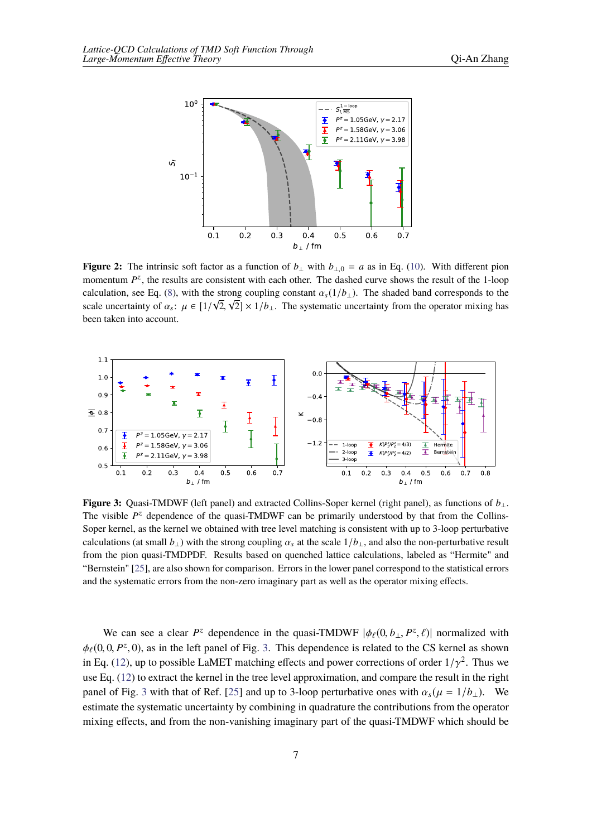<span id="page-6-0"></span>

**Figure 2:** The intrinsic soft factor as a function of  $b_{\perp}$  with  $b_{\perp 0} = a$  as in Eq. [\(10](#page-3-1)). With different pion momentum  $P^z$ , the results are consistent with each other. The dashed curve shows the result of the 1-loop calculation, see Eq. ([8\)](#page-3-4), with the strong coupling constant  $\alpha_s(1/b_\perp)$ . The shaded band corresponds to the scale uncertainty of  $\alpha_s$ :  $\mu \in [1/\sqrt{2}, \sqrt{2}] \times 1/b_{\perp}$ . The systematic uncertainty from the operator mixing has been taken into account.

<span id="page-6-1"></span>

**Figure 3:** Quasi-TMDWF (left panel) and extracted Collins-Soper kernel (right panel), as functions of *b*⊥. The visible  $P^z$  dependence of the quasi-TMDWF can be primarily understood by that from the Collins-Soper kernel, as the kernel we obtained with tree level matching is consistent with up to 3-loop perturbative calculations (at small  $b_\perp$ ) with the strong coupling  $\alpha_s$  at the scale  $1/b_\perp$ , and also the non-perturbative result from the pion quasi-TMDPDF. Results based on quenched lattice calculations, labeled as "Hermite" and "Bernstein" [\[25](#page-8-11)], are also shown for comparison. Errors in the lower panel correspond to the statistical errors and the systematic errors from the non-zero imaginary part as well as the operator mixing effects.

We can see a clear  $P^z$  dependence in the quasi-TMDWF  $|\phi_\ell(0, b_\perp, P^z, \ell)|$  normalized with  $\phi_{\ell}(0, 0, P^z, 0)$ , as in the left panel of Fig. [3.](#page-6-1) This dependence is related to the CS kernel as shown in Eq. ([12\)](#page-3-2), up to possible LaMET matching effects and power corrections of order  $1/\gamma^2$ . Thus we use Eq. [\(12](#page-3-2)) to extract the kernel in the tree level approximation, and compare the result in the right panel of Fig. [3](#page-6-1) with that of Ref. [[25\]](#page-8-11) and up to 3-loop perturbative ones with  $\alpha_s(\mu = 1/b_\perp)$ . We estimate the systematic uncertainty by combining in quadrature the contributions from the operator mixing effects, and from the non-vanishing imaginary part of the quasi-TMDWF which should be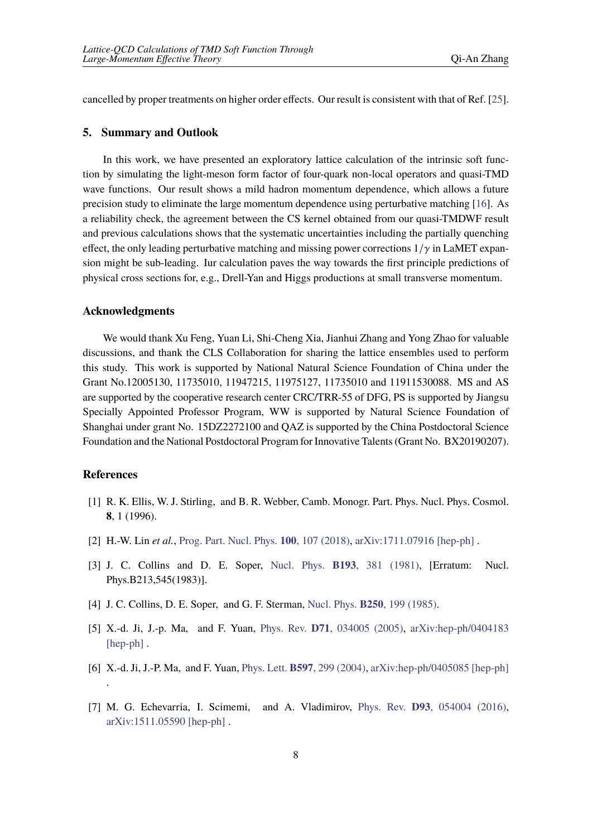cancelled by proper treatments on higher order effects. Our result is consistent with that of Ref. [[25\]](#page-8-11).

### **5. Summary and Outlook**

In this work, we have presented an exploratory lattice calculation of the intrinsic soft function by simulating the light-meson form factor of four-quark non-local operators and quasi-TMD wave functions. Our result shows a mild hadron momentum dependence, which allows a future precision study to eliminate the large momentum dependence using perturbative matching [[16\]](#page-8-6). As a reliability check, the agreement between the CS kernel obtained from our quasi-TMDWF result and previous calculations shows that the systematic uncertainties including the partially quenching effect, the only leading perturbative matching and missing power corrections  $1/\gamma$  in LaMET expansion might be sub-leading. Iur calculation paves the way towards the first principle predictions of physical cross sections for, e.g., Drell-Yan and Higgs productions at small transverse momentum.

### **Acknowledgments**

We would thank Xu Feng, Yuan Li, Shi-Cheng Xia, Jianhui Zhang and Yong Zhao for valuable discussions, and thank the CLS Collaboration for sharing the lattice ensembles used to perform this study. This work is supported by National Natural Science Foundation of China under the Grant No.12005130, 11735010, 11947215, 11975127, 11735010 and 11911530088. MS and AS are supported by the cooperative research center CRC/TRR-55 of DFG, PS is supported by Jiangsu Specially Appointed Professor Program, WW is supported by Natural Science Foundation of Shanghai under grant No. 15DZ2272100 and QAZ is supported by the China Postdoctoral Science Foundation and the National Postdoctoral Program for Innovative Talents(Grant No. BX20190207).

## **References**

- <span id="page-7-0"></span>[1] R. K. Ellis, W. J. Stirling, and B. R. Webber, Camb. Monogr. Part. Phys. Nucl. Phys. Cosmol. **8**, 1 (1996).
- <span id="page-7-1"></span>[2] H.-W. Lin *et al.*, Prog. Part. Nucl. Phys. **100**, 107 [\(2018\),](http://dx.doi.org/10.1016/j.ppnp.2018.01.007) [arXiv:1711.07916](http://arxiv.org/abs/1711.07916) [hep-ph] .
- <span id="page-7-2"></span>[3] J. C. Collins and D. E. Soper, Nucl. Phys. **B193**, 381 [\(1981\),](http://dx.doi.org/10.1016/0550-3213(81)90339-4) [Erratum: Nucl. Phys.B213,545(1983)].
- [4] J. C. Collins, D. E. Soper, and G. F. Sterman, Nucl. Phys. **B250**, 199 [\(1985\)](http://dx.doi.org/10.1016/0550-3213(85)90479-1).
- [5] X.-d. Ji, J.-p. Ma, and F. Yuan, Phys. Rev. **D71**, [034005](http://dx.doi.org/10.1103/PhysRevD.71.034005) (2005), arXiv:hep-ph/0404183 [hep-ph].
- <span id="page-7-3"></span>[6] X.-d. Ji, J.-P. Ma, and F. Yuan, Phys. Lett. **B597**, 299 [\(2004\),](http://dx.doi.org/10.1016/j.physletb.2004.07.026) [arXiv:hep-ph/0405085](http://arxiv.org/abs/hep-ph/0405085) [hep-ph] .
- <span id="page-7-4"></span>[7] M. G. Echevarria, I. Scimemi, and A. Vladimirov, Phys. Rev. **D93**, [054004](http://dx.doi.org/10.1103/PhysRevD.93.054004) (2016), [arXiv:1511.05590](http://arxiv.org/abs/1511.05590) [hep-ph] .